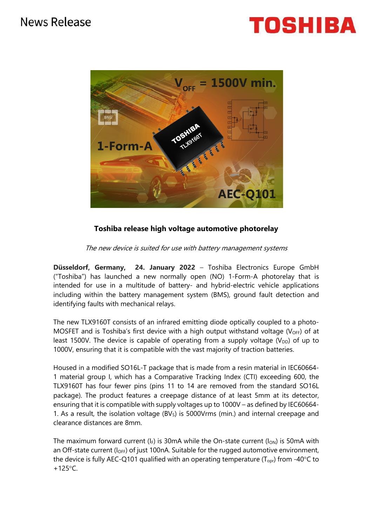



## **Toshiba release high voltage automotive photorelay**

The new device is suited for use with battery management systems

**Düsseldorf, Germany, 24. January 2022** – Toshiba Electronics Europe GmbH ("Toshiba") has launched a new normally open (NO) 1-Form-A photorelay that is intended for use in a multitude of battery- and hybrid-electric vehicle applications including within the battery management system (BMS), ground fault detection and identifying faults with mechanical relays.

The new TLX9160T consists of an infrared emitting diode optically coupled to a photo-MOSFET and is Toshiba's first device with a high output withstand voltage ( $V_{\text{OFF}}$ ) of at least 1500V. The device is capable of operating from a supply voltage ( $V_{DD}$ ) of up to 1000V, ensuring that it is compatible with the vast majority of traction batteries.

Housed in a modified SO16L-T package that is made from a resin material in IEC60664- 1 material group I, which has a Comparative Tracking Index (CTI) exceeding 600, the TLX9160T has four fewer pins (pins 11 to 14 are removed from the standard SO16L package). The product features a creepage distance of at least 5mm at its detector, ensuring that it is compatible with supply voltages up to 1000V – as defined by IEC60664- 1. As a result, the isolation voltage  $(BV<sub>S</sub>)$  is 5000Vrms (min.) and internal creepage and clearance distances are 8mm.

The maximum forward current ( $I_F$ ) is 30mA while the On-state current ( $I_{ON}$ ) is 50mA with an Off-state current ( $I_{OFF}$ ) of just 100nA. Suitable for the rugged automotive environment, the device is fully AEC-Q101 qualified with an operating temperature ( $T_{\text{opt}}$ ) from -40 $\textdegree$ C to  $+125^{\circ}$ C.